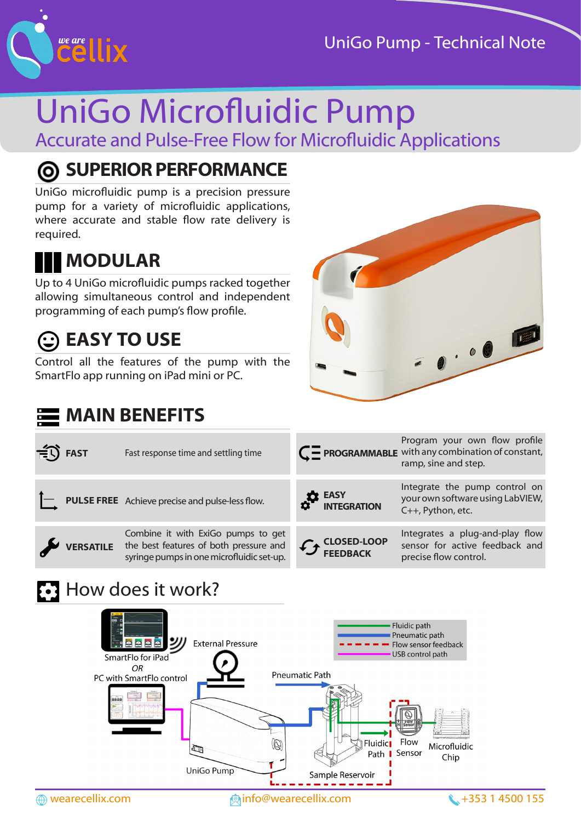



# UniGo Microfluidic Pump Accurate and Pulse-Free Flow for Microfluidic Applications

## **SUPERIOR PERFORMANCE**

UniGo microfluidic pump is a precision pressure pump for a variety of microfluidic applications, where accurate and stable flow rate delivery is required.

## **MODULAR**

Up to 4 UniGo microfluidic pumps racked together allowing simultaneous control and independent programming of each pump's flow profile.

## **EASY TO USE**

Control all the features of the pump with the SmartFlo app running on iPad mini or PC.



| $\widehat{=}$ FAST |                  | Fast response time and settling time                                                                                      |                               | Program your own flow profile<br>$C$ PROGRAMMABLE with any combination of constant,<br>ramp, sine and step. |
|--------------------|------------------|---------------------------------------------------------------------------------------------------------------------------|-------------------------------|-------------------------------------------------------------------------------------------------------------|
|                    |                  | $\leftarrow$ <b>PULSE FREE</b> Achieve precise and pulse-less flow.                                                       | <b>EASY</b><br>INTEGRATION    | Integrate the pump control on<br>your own software using LabVIEW,<br>C++, Python, etc.                      |
|                    | <b>VERSATILE</b> | Combine it with ExiGo pumps to get<br>the best features of both pressure and<br>syringe pumps in one microfluidic set-up. | <b>CANAGEMENT CLOSED-LOOP</b> | Integrates a plug-and-play flow<br>sensor for active feedback and<br>precise flow control.                  |

### **E**: How does it work?

**MAIN BENEFITS**